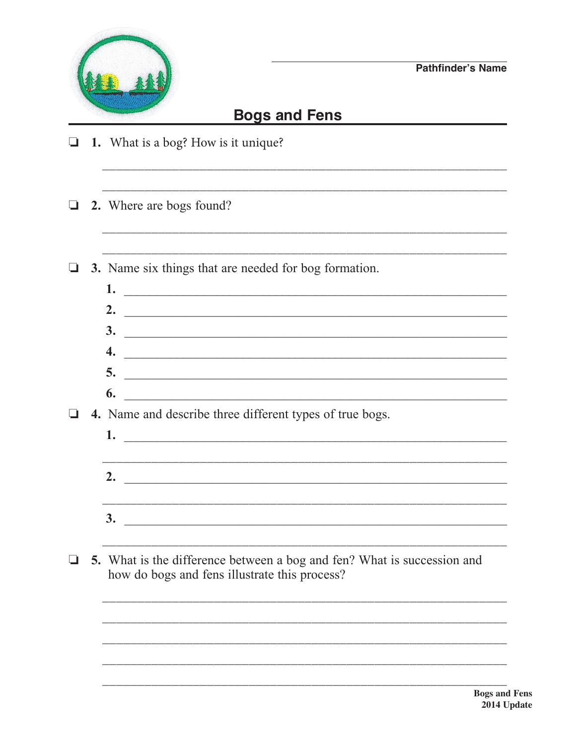

## **Bogs and Fens**

- $\Box$  1. What is a bog? How is it unique?
- 2. Where are bogs found?  $\Box$
- 3. Name six things that are needed for bog formation.  $\Box$ 
	- 1.  $\overline{\phantom{a}}$ 2.  $\qquad \qquad$  $3.$   $\overline{\phantom{a}}$ 4.  $\overline{\mathbf{5}}$ .  $\overline{\phantom{a}}$  6.

- $\Box$  4. Name and describe three different types of true bogs.
	- 2.  $\qquad \qquad$  $3.$   $\overline{\phantom{a}}$
- $\Box$  5. What is the difference between a bog and fen? What is succession and how do bogs and fens illustrate this process?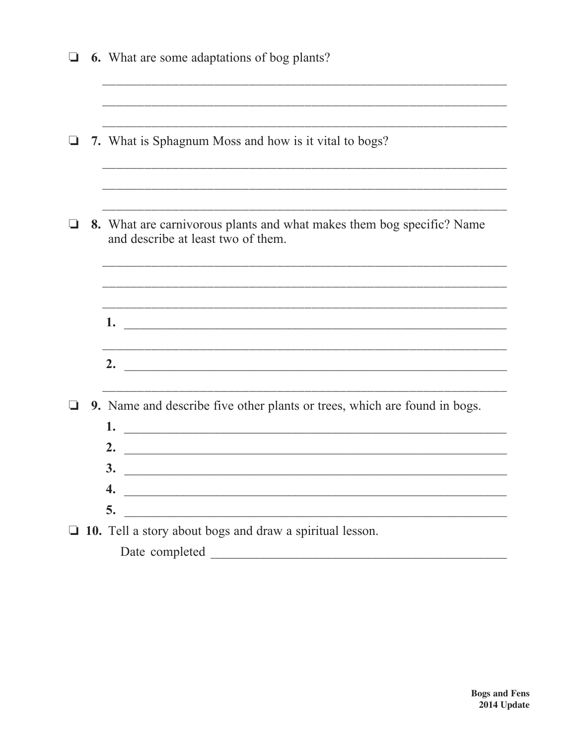|  | <b>6.</b> What are some adaptations of bog plants?                                                                                                                                      |
|--|-----------------------------------------------------------------------------------------------------------------------------------------------------------------------------------------|
|  | 7. What is Sphagnum Moss and how is it vital to bogs?                                                                                                                                   |
|  | 8. What are carnivorous plants and what makes them bog specific? Name<br>and describe at least two of them.                                                                             |
|  | 1.<br><u> 1989 - Jan Barnett, fransk politik (d. 1989)</u>                                                                                                                              |
|  | 2.<br><u> 1989 - Johann John Stone, mars et al. (</u>                                                                                                                                   |
|  | 9. Name and describe five other plants or trees, which are found in bogs.<br>1.<br><u> 2000 - Jan Barnett, mars et al. (</u><br>2.<br>3.<br>4.                                          |
|  | 5.<br><u> 1989 - Johann Harry Barn, mars ar yw i ganrif y brenin y cynnwys y cynnwys y cynnwys y cynnwys y cynnwys y cy</u><br>10. Tell a story about bogs and draw a spiritual lesson. |
|  | Date completed                                                                                                                                                                          |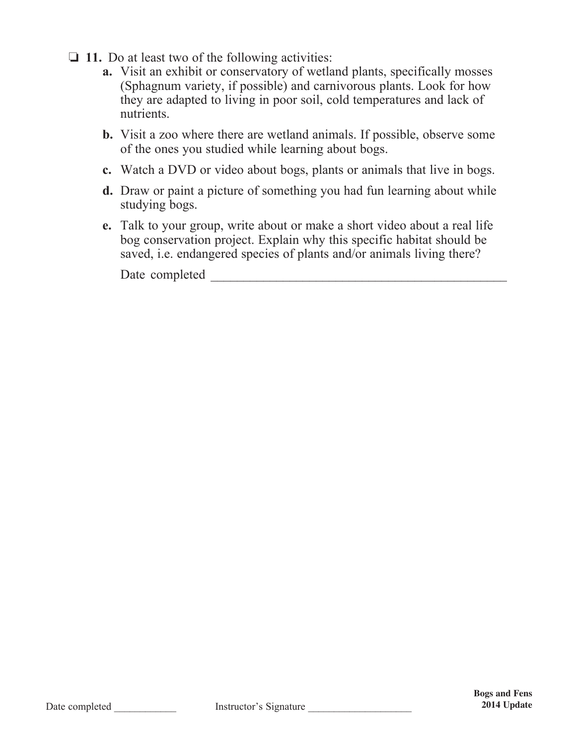- $\Box$  11. Do at least two of the following activities:
	- **a.** Visit an exhibit or conservatory of wetland plants, specifically mosses (Sphagnum variety, if possible) and carnivorous plants. Look for how they are adapted to living in poor soil, cold temperatures and lack of nutrients.
	- **b.** Visit a zoo where there are wetland animals. If possible, observe some of the ones you studied while learning about bogs.
	- **c.** Watch a DVD or video about bogs, plants or animals that live in bogs.
	- **d.** Draw or paint a picture of something you had fun learning about while studying bogs.
	- **e.** Talk to your group, write about or make a short video about a real life bog conservation project. Explain why this specific habitat should be saved, i.e. endangered species of plants and/or animals living there?

Date completed \_\_\_\_\_\_\_\_\_\_\_\_\_\_\_\_\_\_\_\_\_\_\_\_\_\_\_\_\_\_\_\_\_\_\_\_\_\_\_\_\_\_\_\_\_